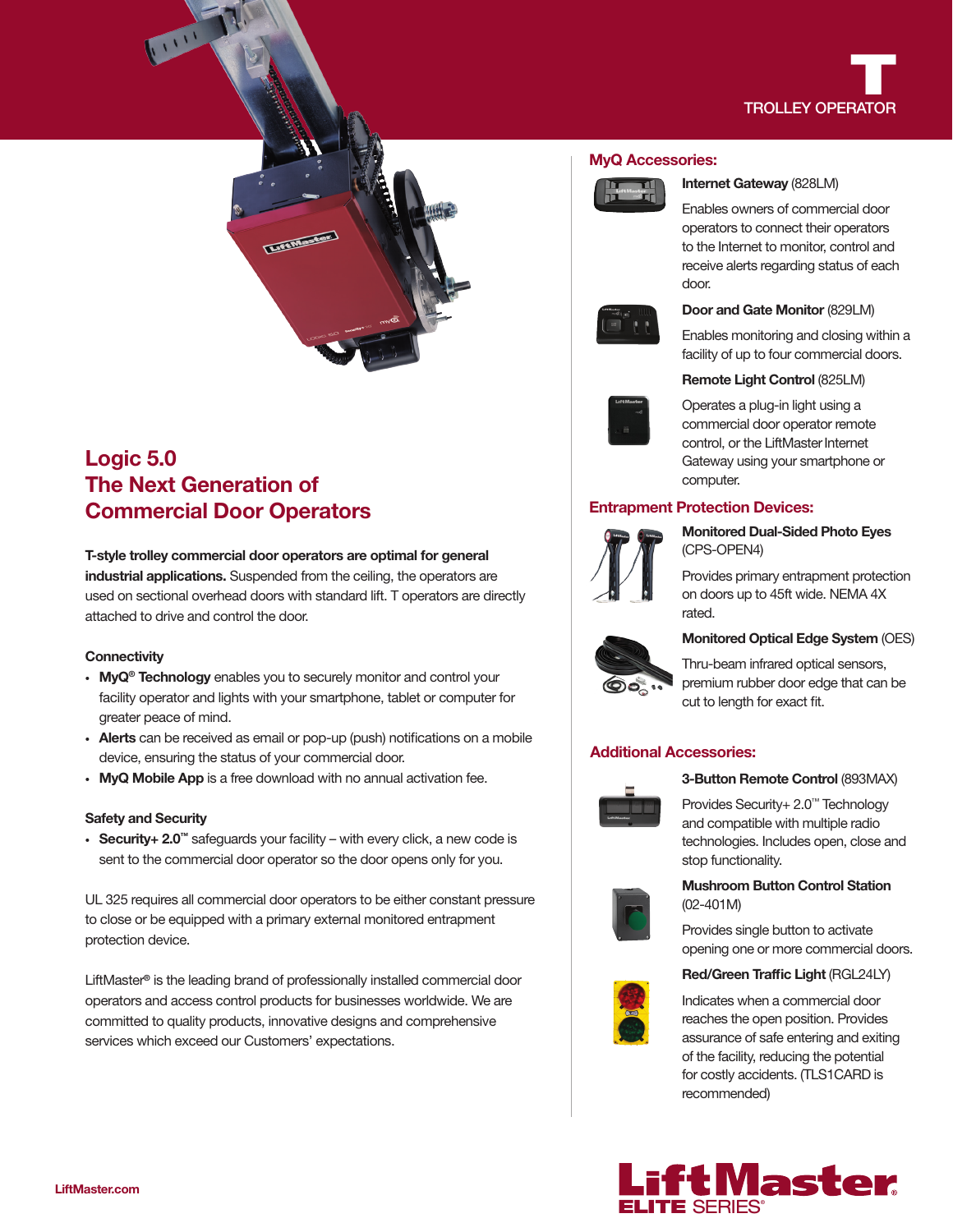

# Logic 5.0 The Next Generation of Commercial Door Operators

T-style trolley commercial door operators are optimal for general industrial applications. Suspended from the ceiling, the operators are used on sectional overhead doors with standard lift. T operators are directly attached to drive and control the door.

### **Connectivity**

- MyQ<sup>®</sup> Technology enables you to securely monitor and control your facility operator and lights with your smartphone, tablet or computer for greater peace of mind.
- Alerts can be received as email or pop-up (push) notifications on a mobile device, ensuring the status of your commercial door.
- MyQ Mobile App is a free download with no annual activation fee.

### Safety and Security

• Security+ 2.0™ safeguards your facility – with every click, a new code is sent to the commercial door operator so the door opens only for you.

UL 325 requires all commercial door operators to be either constant pressure to close or be equipped with a primary external monitored entrapment protection device.

LiftMaster® is the leading brand of professionally installed commercial door operators and access control products for businesses worldwide. We are committed to quality products, innovative designs and comprehensive services which exceed our Customers' expectations.

### MyQ Accessories:



### Internet Gateway (828LM)

Enables owners of commercial door operators to connect their operators to the Internet to monitor, control and receive alerts regarding status of each door.



### Door and Gate Monitor (829LM)

Enables monitoring and closing within a facility of up to four commercial doors.



### Remote Light Control (825LM)

Operates a plug-in light using a commercial door operator remote control, or the LiftMaster Internet Gateway using your smartphone or computer.

# Entrapment Protection Devices:



Monitored Dual-Sided Photo Eyes (CPS-OPEN4)

Provides primary entrapment protection on doors up to 45ft wide. NEMA 4X rated.



# Monitored Optical Edge System (OES)

Thru-beam infrared optical sensors, premium rubber door edge that can be cut to length for exact fit.

# Additional Accessories:



### 3-Button Remote Control (893MAX)

Provides Security+ 2.0™ Technology and compatible with multiple radio technologies. Includes open, close and stop functionality.



# Mushroom Button Control Station (02-401M)

Provides single button to activate opening one or more commercial doors.

# Red/Green Traffic Light (RGL24LY)



Indicates when a commercial door reaches the open position. Provides assurance of safe entering and exiting of the facility, reducing the potential for costly accidents. (TLS1CARD is recommended)